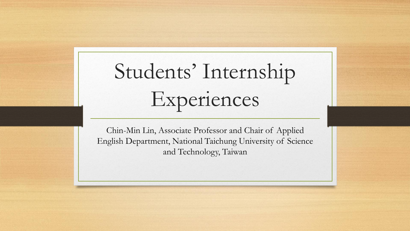# Students' Internship Experiences

Chin-Min Lin, Associate Professor and Chair of Applied English Department, National Taichung University of Science and Technology, Taiwan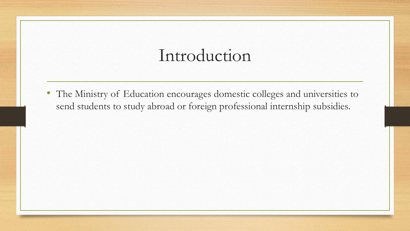#### Introduction

• The Ministry of Education encourages domestic colleges and universities to send students to study abroad or foreign professional internship subsidies.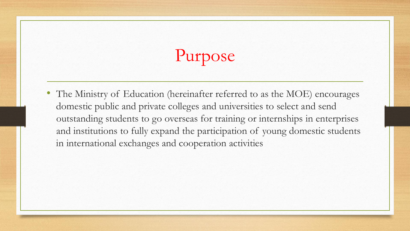# Purpose

• The Ministry of Education (hereinafter referred to as the MOE) encourages domestic public and private colleges and universities to select and send outstanding students to go overseas for training or internships in enterprises and institutions to fully expand the participation of young domestic students in international exchanges and cooperation activities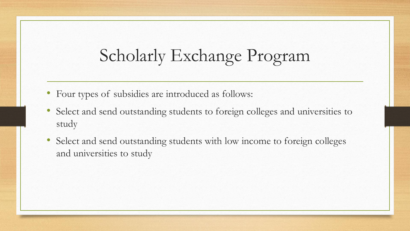## Scholarly Exchange Program

- Four types of subsidies are introduced as follows:
- Select and send outstanding students to foreign colleges and universities to study
- Select and send outstanding students with low income to foreign colleges and universities to study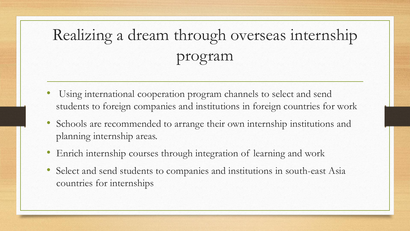# Realizing a dream through overseas internship program

- Using international cooperation program channels to select and send students to foreign companies and institutions in foreign countries for work
- Schools are recommended to arrange their own internship institutions and planning internship areas.
- Enrich internship courses through integration of learning and work
- Select and send students to companies and institutions in south-east Asia countries for internships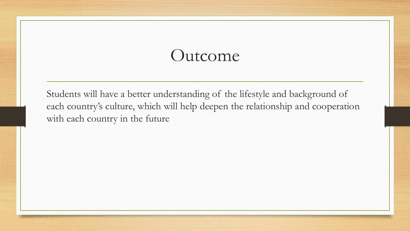#### Outcome

Students will have a better understanding of the lifestyle and background of each country's culture, which will help deepen the relationship and cooperation with each country in the future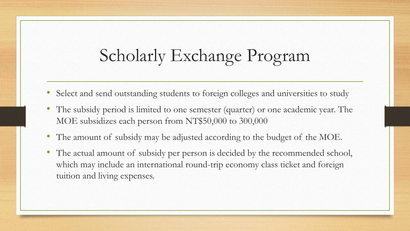## Scholarly Exchange Program

- Select and send outstanding students to foreign colleges and universities to study
- The subsidy period is limited to one semester (quarter) or one academic year. The MOE subsidizes each person from NT\$50,000 to 300,000
- The amount of subsidy may be adjusted according to the budget of the MOE.
- The actual amount of subsidy per person is decided by the recommended school, which may include an international round-trip economy class ticket and foreign tuition and living expenses.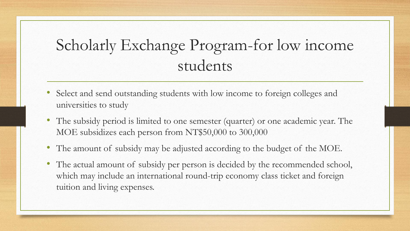#### Scholarly Exchange Program-for low income students

- Select and send outstanding students with low income to foreign colleges and universities to study
- The subsidy period is limited to one semester (quarter) or one academic year. The MOE subsidizes each person from NT\$50,000 to 300,000
- The amount of subsidy may be adjusted according to the budget of the MOE.
- The actual amount of subsidy per person is decided by the recommended school, which may include an international round-trip economy class ticket and foreign tuition and living expenses.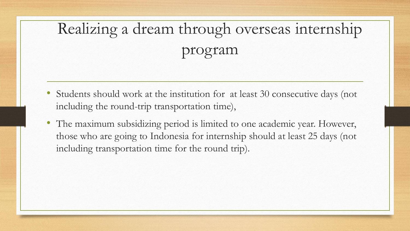# Realizing a dream through overseas internship program

- Students should work at the institution for at least 30 consecutive days (not including the round-trip transportation time),
- The maximum subsidizing period is limited to one academic year. However, those who are going to Indonesia for internship should at least 25 days (not including transportation time for the round trip).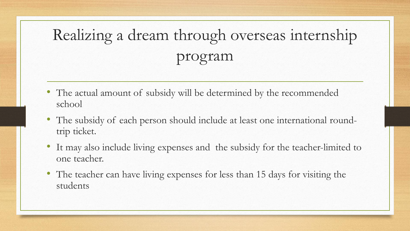# Realizing a dream through overseas internship program

- The actual amount of subsidy will be determined by the recommended school
- The subsidy of each person should include at least one international roundtrip ticket.
- It may also include living expenses and the subsidy for the teacher-limited to one teacher.
- The teacher can have living expenses for less than 15 days for visiting the students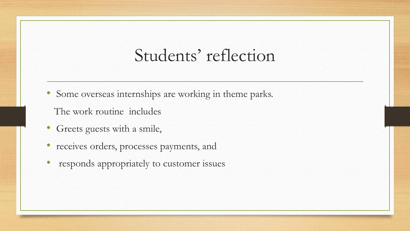- Some overseas internships are working in theme parks.
	- The work routine includes
- Greets guests with a smile,
- receives orders, processes payments, and
- responds appropriately to customer issues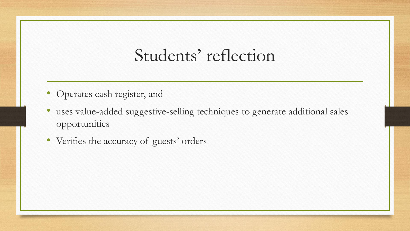- Operates cash register, and
- uses value-added suggestive-selling techniques to generate additional sales opportunities
- Verifies the accuracy of guests' orders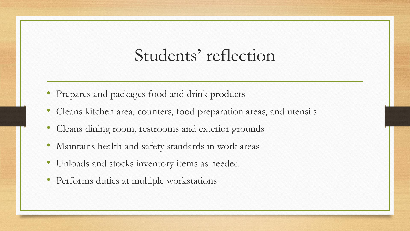- Prepares and packages food and drink products
- Cleans kitchen area, counters, food preparation areas, and utensils
- Cleans dining room, restrooms and exterior grounds
- Maintains health and safety standards in work areas
- Unloads and stocks inventory items as needed
- Performs duties at multiple workstations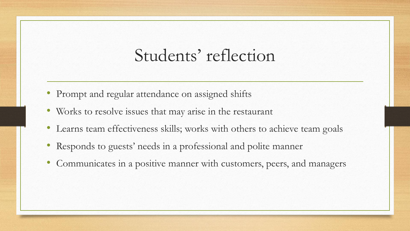- Prompt and regular attendance on assigned shifts
- Works to resolve issues that may arise in the restaurant
- Learns team effectiveness skills; works with others to achieve team goals
- Responds to guests' needs in a professional and polite manner
- Communicates in a positive manner with customers, peers, and managers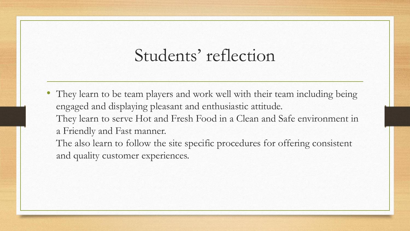• They learn to be team players and work well with their team including being engaged and displaying pleasant and enthusiastic attitude. They learn to serve Hot and Fresh Food in a Clean and Safe environment in a Friendly and Fast manner. The also learn to follow the site specific procedures for offering consistent

and quality customer experiences.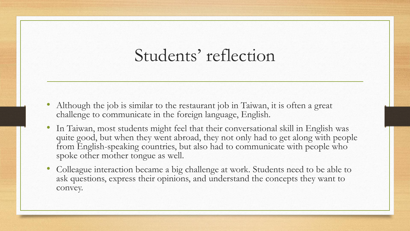- Although the job is similar to the restaurant job in Taiwan, it is often a great challenge to communicate in the foreign language, English.
- In Taiwan, most students might feel that their conversational skill in English was quite good, but when they went abroad, they not only had to get along with people from English-speaking countries, but also had to communicate with people who spoke other mother tongue as well.
- Colleague interaction became a big challenge at work. Students need to be able to ask questions, express their opinions, and understand the concepts they want to convey.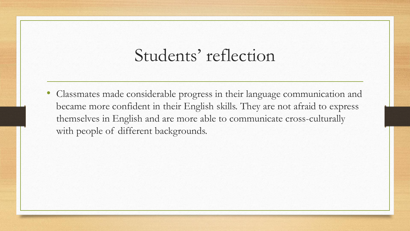• Classmates made considerable progress in their language communication and became more confident in their English skills. They are not afraid to express themselves in English and are more able to communicate cross-culturally with people of different backgrounds.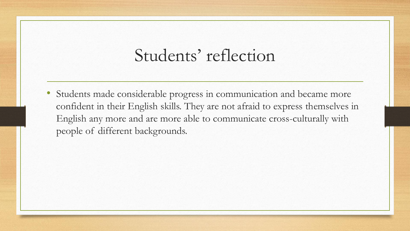Students made considerable progress in communication and became more confident in their English skills. They are not afraid to express themselves in English any more and are more able to communicate cross-culturally with people of different backgrounds.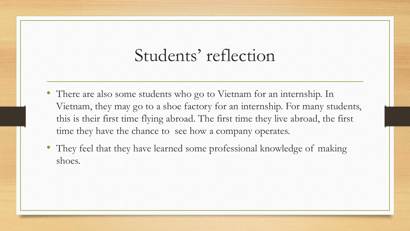- There are also some students who go to Vietnam for an internship. In Vietnam, they may go to a shoe factory for an internship. For many students, this is their first time flying abroad. The first time they live abroad, the first time they have the chance to see how a company operates.
- They feel that they have learned some professional knowledge of making shoes.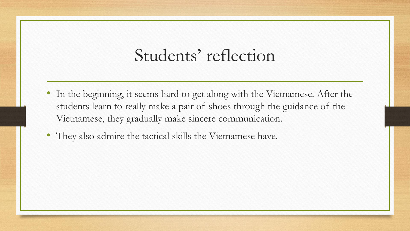- In the beginning, it seems hard to get along with the Vietnamese. After the students learn to really make a pair of shoes through the guidance of the Vietnamese, they gradually make sincere communication.
- They also admire the tactical skills the Vietnamese have.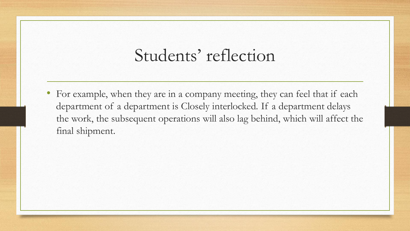• For example, when they are in a company meeting, they can feel that if each department of a department is Closely interlocked. If a department delays the work, the subsequent operations will also lag behind, which will affect the final shipment.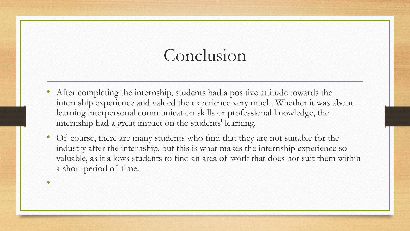# Conclusion

- After completing the internship, students had a positive attitude towards the internship experience and valued the experience very much. Whether it was about learning interpersonal communication skills or professional knowledge, the internship had a great impact on the students' learning.
- Of course, there are many students who find that they are not suitable for the industry after the internship, but this is what makes the internship experience so valuable, as it allows students to find an area of work that does not suit them within a short period of time.

•